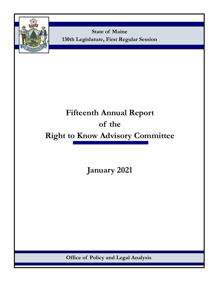

**State of Maine 130th Legislature, First Regular Session**

# **Fifteenth Annual Report of the Right to Know Advisory Committee**

**January 2021**

**Office of Policy and Legal Analysis**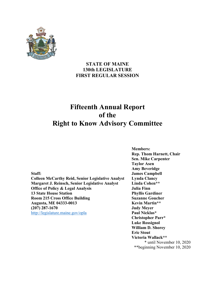

## **STATE OF MAINE 130th LEGISLATURE FIRST REGULAR SESSION**

## **Fifteenth Annual Report of the Right to Know Advisory Committee**

**Colleen McCarthy Reid, Senior Legislative Analyst Lynda Clancy Margaret J. Reinsch, Senior Legislative Analyst Office of Policy & Legal Analysis 13 State House Station Room 215 Cross Office Building Augusta, ME 04333-0013 (207) 287-1670** <http://legislature.maine.gov/opla>

**Members: Rep. Thom Harnett, Chair Sen. Mike Carpenter Taylor Asen Amy Beveridge Staff: James Campbell Linda Cohen\*\* Julia Finn Phyllis Gardiner Suzanne Goucher Kevin Martin\*\* Judy Meyer Paul Nicklas\* Christopher Parr\* Luke Rossignol William D. Shorey Eric Stout Victoria Wallack\*\***  \* until November 10, 2020 \*\*beginning November 10, 2020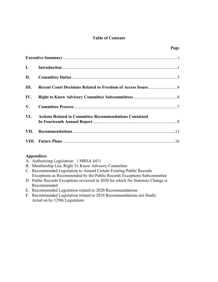## **Table of Contents**

**Page**

| VI. Actions Related to Committee Recommendations Contained |  |
|------------------------------------------------------------|--|
|                                                            |  |
|                                                            |  |

## **Appendices**

- A. Authorizing Legislation: 1 MRSA §411
- B. Membership List, Right To Know Advisory Committee
- C. Recommended Legislation to Amend Certain Existing Public Records Exceptions as Recommended by the Public Records Exceptions Subcommittee
- D. Public Records Exceptions reviewed in 2020 for which No Statutory Change is Recommended
- E. Recommended Legislation related to 2020 Recommendations
- F. Recommended Legislation related to 2019 Recommendations not finally Acted on by 129th Legislature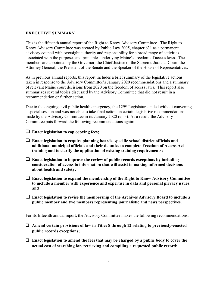## **EXECUTIVE SUMMARY**

This is the fifteenth annual report of the Right to Know Advisory Committee. The Right to Know Advisory Committee was created by Public Law 2005, chapter 631 as a permanent advisory council with oversight authority and responsibility for a broad range of activities associated with the purposes and principles underlying Maine's freedom of access laws. The members are appointed by the Governor, the Chief Justice of the Supreme Judicial Court, the Attorney General, the President of the Senate and the Speaker of the House of Representatives.

As in previous annual reports, this report includes a brief summary of the legislative actions taken in response to the Advisory Committee's January 2020 recommendations and a summary of relevant Maine court decisions from 2020 on the freedom of access laws. This report also summarizes several topics discussed by the Advisory Committee that did not result in a recommendation or further action.

Due to the ongoing civil public health emergency, the 129<sup>th</sup> Legislature ended without convening a special session and was not able to take final action on certain legislative recommendations made by the Advisory Committee in its January 2020 report. As a result, the Advisory Committee puts forward the following recommendations again:

- **Enact legislation to cap copying fees;**
- **Enact legislation to require planning boards, specific school district officials and additional municipal officials and their deputies to complete Freedom of Access Act training and to clarify the application of existing training requirements;**
- **Enact legislation to improve the review of public records exceptions by including consideration of access to information that will assist in making informed decisions about health and safety;**
- **Enact legislation to expand the membership of the Right to Know Advisory Committee to include a member with experience and expertise in data and personal privacy issues; and**
- **Enact legislation to revise the membership of the Archives Advisory Board to include a public member and two members representing journalistic and news perspectives.**

For its fifteenth annual report, the Advisory Committee makes the following recommendations:

- **Amend certain provisions of law in Titles 8 through 12 relating to previously-enacted public records exceptions;**
- **Enact legislation to amend the fees that may be charged by a public body to cover the actual cost of searching for, retrieving and compiling a requested public record;**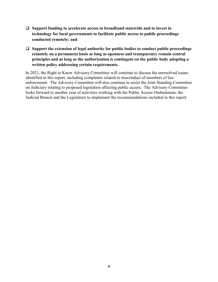- **Support funding to accelerate access to broadband statewide and to invest in technology for local governments to facilitate public access to public proceedings conducted remotely; and**
- **Support the extension of legal authority for public bodies to conduct public proceedings remotely on a permanent basis as long as openness and transparency remain central principles and as long as the authorization is contingent on the public body adopting a written policy addressing certain requirements.**

In 2021, the Right to Know Advisory Committee will continue to discuss the unresolved issues identified in this report, including complaints related to misconduct of members of law enforcement. The Advisory Committee will also continue to assist the Joint Standing Committee on Judiciary relating to proposed legislation affecting public access. The Advisory Committee looks forward to another year of activities working with the Public Access Ombudsman, the Judicial Branch and the Legislature to implement the recommendations included in this report.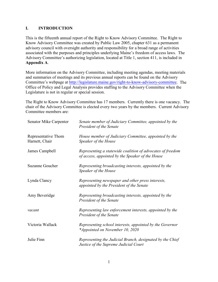## **I. INTRODUCTION**

This is the fifteenth annual report of the Right to Know Advisory Committee. The Right to Know Advisory Committee was created by Public Law 2005, chapter 631 as a permanent advisory council with oversight authority and responsibility for a broad range of activities associated with the purposes and principles underlying Maine's freedom of access laws. The Advisory Committee's authorizing legislation, located at Title 1, section 411, is included in **Appendix A**.

More information on the Advisory Committee, including meeting agendas, meeting materials and summaries of meetings and its previous annual reports can be found on the Advisory Committee's webpage at [http://legislature.maine.gov/right-to-know-advisory-committee.](http://legislature.maine.gov/right-to-know-advisory-committee) The Office of Policy and Legal Analysis provides staffing to the Advisory Committee when the Legislature is not in regular or special session.

The Right to Know Advisory Committee has 17 members. Currently there is one vacancy. The chair of the Advisory Committee is elected every two years by the members. Current Advisory Committee members are:

| <b>Senator Mike Carpenter</b>         | Senate member of Judiciary Committee, appointed by the<br><b>President of the Senate</b>                       |
|---------------------------------------|----------------------------------------------------------------------------------------------------------------|
| Representative Thom<br>Harnett, Chair | House member of Judiciary Committee, appointed by the<br>Speaker of the House                                  |
| James Campbell                        | Representing a statewide coalition of advocates of freedom<br>of access, appointed by the Speaker of the House |
| <b>Suzanne Goucher</b>                | Representing broadcasting interests, appointed by the<br>Speaker of the House                                  |
| Lynda Clancy                          | Representing newspaper and other press interests,<br>appointed by the President of the Senate                  |
| Amy Beveridge                         | Representing broadcasting interests, appointed by the<br><b>President of the Senate</b>                        |
| vacant                                | Representing law enforcement interests, appointed by the<br>President of the Senate                            |
| Victoria Wallack                      | Representing school interests, appointed by the Governor<br>*Appointed on November 10, 2020                    |
| Julie Finn                            | Representing the Judicial Branch, designated by the Chief<br>Justice of the Supreme Judicial Court             |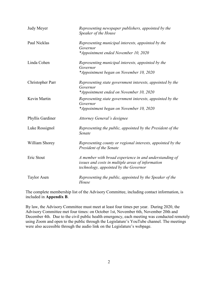| Judy Meyer         | Representing newspaper publishers, appointed by the<br>Speaker of the House                                                                          |
|--------------------|------------------------------------------------------------------------------------------------------------------------------------------------------|
| Paul Nicklas       | Representing municipal interests, appointed by the<br>Governor<br>*Appointment ended November 10, 2020                                               |
| Linda Cohen        | Representing municipal interests, appointed by the<br>Governor<br>*Appointment began on November 10, 2020                                            |
| Christopher Parr   | Representing state government interests, appointed by the<br>Governor<br>*Appointment ended on November 10, 2020                                     |
| Kevin Martin       | Representing state government interests, appointed by the<br>Governor<br>*Appointment began on November 10, 2020                                     |
| Phyllis Gardiner   | Attorney General's designee                                                                                                                          |
| Luke Rossignol     | Representing the public, appointed by the President of the<br>Senate                                                                                 |
| William Shorey     | Representing county or regional interests, appointed by the<br>President of the Senate                                                               |
| Eric Stout         | A member with broad experience in and understanding of<br>issues and costs in multiple areas of information<br>technology, appointed by the Governor |
| <b>Taylor Asen</b> | Representing the public, appointed by the Speaker of the<br>House                                                                                    |

The complete membership list of the Advisory Committee, including contact information, is included in **Appendix B**.

By law, the Advisory Committee must meet at least four times per year. During 2020, the Advisory Committee met four times: on October 1st, November 6th, November 20th and December 4th. Due to the civil public health emergency, each meeting was conducted remotely using Zoom and open to the public through the Legislature's YouTube channel. The meetings were also accessible through the audio link on the Legislature's webpage.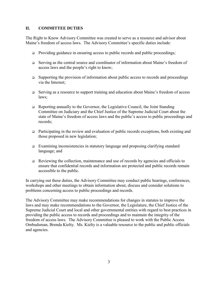## **II. COMMITTEE DUTIES**

The Right to Know Advisory Committee was created to serve as a resource and advisor about Maine's freedom of access laws. The Advisory Committee's specific duties include:

- □ Providing guidance in ensuring access to public records and public proceedings;
- Serving as the central source and coordinator of information about Maine's freedom of access laws and the people's right to know;
- $\Box$  Supporting the provision of information about public access to records and proceedings via the Internet;
- □ Serving as a resource to support training and education about Maine's freedom of access laws;
- □ Reporting annually to the Governor, the Legislative Council, the Joint Standing Committee on Judiciary and the Chief Justice of the Supreme Judicial Court about the state of Maine's freedom of access laws and the public's access to public proceedings and records;
- $\Box$  Participating in the review and evaluation of public records exceptions, both existing and those proposed in new legislation;
- Examining inconsistencies in statutory language and proposing clarifying standard language; and
- $\Box$  Reviewing the collection, maintenance and use of records by agencies and officials to ensure that confidential records and information are protected and public records remain accessible to the public.

In carrying out these duties, the Advisory Committee may conduct public hearings, conferences, workshops and other meetings to obtain information about, discuss and consider solutions to problems concerning access to public proceedings and records.

The Advisory Committee may make recommendations for changes in statutes to improve the laws and may make recommendations to the Governor, the Legislature, the Chief Justice of the Supreme Judicial Court and local and other governmental entities with regard to best practices in providing the public access to records and proceedings and to maintain the integrity of the freedom of access laws. The Advisory Committee is pleased to work with the Public Access Ombudsman, Brenda Kielty. Ms. Kielty is a valuable resource to the public and public officials and agencies.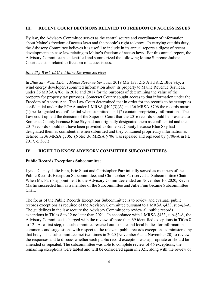## **III. RECENT COURT DECISIONS RELATED TO FREEDOM OF ACCESS ISSUES**

By law, the Advisory Committee serves as the central source and coordinator of information about Maine's freedom of access laws and the people's right to know. In carrying out this duty, the Advisory Committee believes it is useful to include in its annual reports a digest of recent developments in case law relating to Maine's freedom of access laws. For this annual report, the Advisory Committee has identified and summarized the following Maine Supreme Judicial Court decision related to freedom of access issues.

## *Blue Sky West, LLC v. Maine Revenue Services*

In *Blue Sky West, LLC v. Maine Revenue Services,* 2019 ME 137, 215 A.3d 812, Blue Sky, a wind energy developer, submitted information about its property to Maine Revenue Services, under 36 MRSA §706, in 2016 and 2017 for the purposes of determining the value of the property for property tax purposes. Somerset County sought access to that information under the Freedom of Access Act. The Law Court determined that in order for the records to be exempt as confidential under the FOAA under 1 MRSA §402(3)(A) and 36 MRSA §706 the records must: (1) be designated as confidential when submitted; and (2) contain proprietary information. The Law court upheld the decision of the Superior Court that the 2016 records should be provided to Somerset County because Blue Sky had not originally designated them as confidential and the 2017 records should not have been provided to Somerset County because Blue Sky had designated them as confidential when submitted and they contained proprietary information as defined in 36 MRSA §706. (Note: 36 MRSA §706 was repealed and replaced by §706-A in PL 2017, c. 367.)

## **IV. RIGHT TO KNOW ADVISORY COMMITTEE SUBCOMMITTEES**

#### **Public Records Exceptions Subcommittee**

Lynda Clancy, Julie Finn, Eric Stout and Christopher Parr initially served as members of the Public Records Exception Subcommittee, and Christopher Parr served as Subcommittee Chair. When Mr. Parr's appointment to the Advisory Committee ended on November 10, 2020, Kevin Martin succeeded him as a member of the Subcommittee and Julie Finn became Subcommittee Chair.

The focus of the Public Records Exceptions Subcommittee is to review and evaluate public records exceptions as required of the Advisory Committee pursuant to 1 MRSA §433, sub-§2-A. The guidelines in the law require the Advisory Committee to review all public records exceptions in Titles 8 to 12 no later than 2021. In accordance with 1 MRSA §433, sub-§2-A, the Advisory Committee is charged with the review of more than 69 identified exceptions in Titles 8 to 12. As a first step, the subcommittee reached out to state and local bodies for information, comments and suggestions with respect to the relevant public records exceptions administered by that body. The subcommittee met two times in 2020 (November 6 and November 20) to review the responses and to discuss whether each public record exception was appropriate or should be amended or repealed. The subcommittee was able to complete review of 46 exceptions; the remaining exceptions were tabled and will be considered again in 2021, along with the review of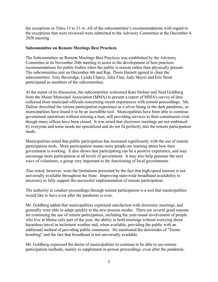the exceptions in Titles 13 to 21-A. All of the subcommittee's recommendations with regard to the exceptions that were reviewed were submitted to the Advisory Committee at the December 4, 2020 meeting.

## **Subcommittee on Remote Meetings Best Practices**

The Subcommittee on Remote Meetings Best Practices was established by the Advisory Committee at its November 20th meeting to assist in the development of best practices recommendations for public bodies when the public is remote rather than physically present. The subcommittee met on December 4th and Rep. Thom Harnett agreed to chair the subcommittee. Amy Beveridge, Lynda Clancy, Julie Finn, Judy Meyer and Eric Stout participated as members of the subcommittee.

At the outset of its discussion, the subcommittee welcomed Kate Dufour and Neal Goldberg from the Maine Municipal Association (MMA) to present a report of MMA's survey of data collected from municipal officials concerning recent experiences with remote proceedings. Ms. Dufour described the remote participation experience as a silver lining in the dark pandemic, as municipalities have found it to be an incredible tool. Municipalities have been able to continue government operations without missing a beat, still providing services to their constituents even though many offices have been closed. It was noted that electronic meetings are not embraced by everyone and some needs are specialized and do not fit perfectly into the remote participation mode.

Municipalities noted that public participation has increased significantly with the use of remote participation tools. More participation means more people are learning about how their government is working. It also shows that participating can be a positive experience, and may encourage more participation at all levels of government. It may also help generate the next wave of volunteers, a group very important to the functioning of local governments.

Also noted, however, were the limitations presented by the fact that high-speed internet is not universally available throughout the State. Improving state-wide broadband availability is necessary to fully support the successful implementation of remote participation.

The authority to conduct proceedings through remote participation is a tool that municipalities would like to have even after the pandemic is over.

Mr. Goldberg added that municipalities expressed satisfaction with electronic meetings, and generally were able to adapt quickly to the new process modes. There are several good reasons for continuing the use of remote participation, including the year-round involvement of people who live in Maine only part of the year, the ability to hold meetings without worrying about hazardous travel in inclement weather and, when available, providing the public with an additional method of providing public comments. He mentioned the downsides of "Zoombombing" and the fact that broadband is not universally available.

Mr. Goldberg expressed the desire of municipalities to continue to be able to use remote participation methods, mainly to supplement in-person proceedings, even after the pandemic.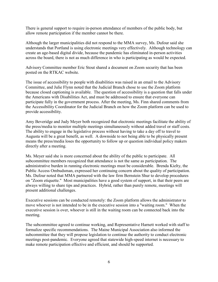There is general support to require in-person attendance of members of the public body, but allow remote participation if the member cannot be there.

Although the larger municipalities did not respond to the MMA survey, Ms. Dufour said she understands that Portland is using electronic meetings very effectively. Although technology can create an age-based digital divide, because the pandemic has eliminated in-person activities across the board, there is not as much difference in who is participating as would be expected.

Advisory Committee member Eric Stout shared a document on Zoom security that has been posted on the RTKAC website.

The issue of accessibility to people with disabilities was raised in an email to the Advisory Committee, and Julie Flynn noted that the Judicial Branch chose to use the Zoom platform because closed captioning is available. The question of accessibility is a question that falls under the Americans with Disabilities Act, and must be addressed to ensure that everyone can participate fully in the government process. After the meeting, Ms. Finn shared comments from the Accessibility Coordinator for the Judicial Branch on how the Zoom platform can be used to provide accessibility.

Amy Beveridge and Judy Meyer both recognized that electronic meetings facilitate the ability of the press/media to monitor multiple meetings simultaneously without added travel or staff costs. The ability to engage in the legislative process without having to take a day off to travel to Augusta will be a great benefit, as well. A downside to not being able to be physically present means the press/media loses the opportunity to follow up or question individual policy makers directly after a meeting.

Ms. Meyer said she is more concerned about the ability of the public to participate. All subcommittee members recognized that attendance is not the same as participation. The administrative burden in running electronic meetings must be considerable. Brenda Kielty, the Public Access Ombudsman, expressed her continuing concern about the quality of participation. Ms. Dufour noted that MMA partnered with the law firm Bernstein Shur to develop procedures on "Zoom etiquette." Most municipalities have a good system of support, in that their peers are always willing to share tips and practices. Hybrid, rather than purely remote, meetings will present additional challenges.

Executive sessions can be conducted remotely: the Zoom platform allows the administrator to move whoever is not intended to be in the executive session into a "waiting room." When the executive session is over, whoever is still in the waiting room can be connected back into the meeting.

The subcommittee agreed to continue working, and Representative Harnett worked with staff to formalize specific recommendations. The Maine Municipal Association also informed the subcommittee that they will propose legislation to continue the authority to conduct electronic meetings post-pandemic. Everyone agreed that statewide high-speed internet is necessary to make remote participation effective and efficient, and should be supported.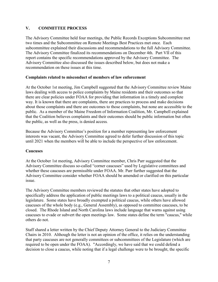## **V. COMMITTEE PROCESS**

The Advisory Committee held four meetings, the Public Records Exceptions Subcommittee met two times and the Subcommittee on Remote Meetings Best Practices met once*.* Each subcommittee explained their discussions and recommendations to the full Advisory Committee. The Advisory Committee finalized its recommendations on December 4th. Part VII of this report contains the specific recommendations approved by the Advisory Committee. The Advisory Committee also discussed the issues described below, but does not make a recommendation on these issues at this time.

## **Complaints related to misconduct of members of law enforcement**

At the October 1st meeting, Jim Campbell suggested that the Advisory Committee review Maine laws dealing with access to police complaints by Maine residents and their outcomes so that there are clear policies under FOAA for providing that information in a timely and complete way. It is known that there are complaints, there are practices to process and make decisions about those complaints and there are outcomes to those complaints, but none are accessible to the public. As a member of the Maine Freedom of Information Coalition, Mr. Campbell explained that the Coalition believes complaints and their outcomes should be public information but often the public, as well as the press, is denied access*.* 

Because the Advisory Committee's position for a member representing law enforcement interests was vacant, the Advisory Committee agreed to defer further discussion of this topic until 2021 when the members will be able to include the perspective of law enforcement.

## **Caucuses**

At the October 1st meeting, Advisory Committee member, Chris Parr suggested that the Advisory Committee discuss so-called "corner caucuses" used by Legislative committees and whether these caucuses are permissible under FOAA. Mr. Parr further suggested that the Advisory Committee consider whether FOAA should be amended or clarified on this particular issue.

The Advisory Committee members reviewed the statutes that other states have adopted to specifically address the application of public meetings laws to a political caucus, usually in the legislature. Some states have broadly exempted a political caucus, while others have allowed caucuses of the whole body (e.g., General Assembly), as opposed to committee caucuses, to be closed. The Rhode Island and North Carolina laws include language that warns against using caucuses to evade or subvert the open meetings law. Some states define the term "caucus," while others do not.

Staff shared a letter written by the Chief Deputy Attorney General to the Judiciary Committee Chairs in 2010. Although the letter is not an opinion of the office, it relies on the understanding that party caucuses are not generally committees or subcommittees of the Legislature (which are required to be open under the FOAA). "Accordingly, we have said that we could defend a decision to close a caucus, while noting that if a legal challenge were to be brought, the specific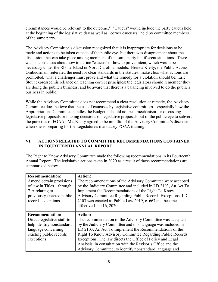circumstances would be relevant to the outcome." "Caucus" would include the party caucus held at the beginning of the legislative day as well as "corner caucuses" held by committee members of the same party.

The Advisory Committee's discussion recognized that it is inappropriate for decisions to be made and actions to be taken outside of the public eye, but there was disagreement about the discussion that can take place among members of the same party in different situations. There was no consensus about how to define "caucus" or how to prove intent, which would be necessary under the Rhode Island or North Carolina models. Brenda Kielty, the Public Access Ombudsman, reiterated the need for clear standards in the statutes: make clear what actions are prohibited, what a challenger must prove and what the remedy for a violation should be. Eric Stout expressed his reliance on teaching correct principles: the legislators should remember they are doing the public's business, and be aware that there is a balancing involved to do the public's business in public.

While the Advisory Committee does not recommend a clear resolution or remedy, the Advisory Committee does believe that the use of caucuses by legislative committees – especially how the Appropriations Committee handles the Budget – should not be a mechanism for discussing legislative proposals or making decisions on legislative proposals out of the public eye to subvert the purposes of FOAA. Ms. Kielty agreed to be mindful of the Advisory Committee's discussion when she is preparing for the Legislature's mandatory FOAA training.

## **VI. ACTIONS RELATED TO COMMITTEE RECOMMENDATIONS CONTAINED IN FOURTEENTH ANNUAL REPORT**

The Right to Know Advisory Committee made the following recommendations in its Fourteenth Annual Report. The legislative actions taken in 2020 as a result of those recommendations are summarized below.

| <b>Recommendation:</b><br>Amend certain provisions<br>of law in Titles 1 through<br>7-A relating to<br>previously-enacted public<br>records exceptions | <b>Action:</b><br>The recommendations of the Advisory Committee were accepted<br>by the Judiciary Committee and included in LD 2103, An Act To<br>Implement the Recommendations of the Right To Know<br>Advisory Committee Regarding Public Records Exceptions. LD<br>2103 was enacted as Public Law 2019, c. 667 and became<br>effective June 16, 2020.                                                                                                     |
|--------------------------------------------------------------------------------------------------------------------------------------------------------|--------------------------------------------------------------------------------------------------------------------------------------------------------------------------------------------------------------------------------------------------------------------------------------------------------------------------------------------------------------------------------------------------------------------------------------------------------------|
| <b>Recommendation:</b><br>Direct legislative staff to<br>help identify nonstandard<br>language concerning<br>existing public records<br>exceptions     | <b>Action:</b><br>The recommendation of the Advisory Committee was accepted<br>by the Judiciary Committee and this language was included in<br>LD 2103, An Act To Implement the Recommendations of the<br>Right To Know Advisory Committee Regarding Public Records<br>Exceptions. The law directs the Office of Policy and Legal<br>Analysis, in consultation with the Revisor's Office and the<br>Advisory Committee, to identify nonstandard language and |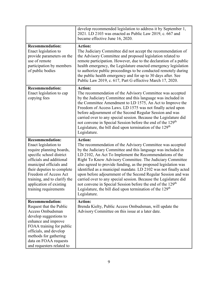|                                                                                                                                                                                                                                                                                                          | develop recommended legislation to address it by September 1,<br>2021. LD 2103 was enacted as Public Law 2019, c. 667 and<br>became effective June 16, 2020.                                                                                                                                                                                                                                                                                                                                                                                                                                                                                                                                                      |
|----------------------------------------------------------------------------------------------------------------------------------------------------------------------------------------------------------------------------------------------------------------------------------------------------------|-------------------------------------------------------------------------------------------------------------------------------------------------------------------------------------------------------------------------------------------------------------------------------------------------------------------------------------------------------------------------------------------------------------------------------------------------------------------------------------------------------------------------------------------------------------------------------------------------------------------------------------------------------------------------------------------------------------------|
| <b>Recommendation:</b><br>Enact legislation to<br>provide parameters on the<br>use of remote<br>participation by members<br>of public bodies                                                                                                                                                             | <b>Action:</b><br>The Judiciary Committee did not accept the recommendation of<br>the Advisory Committee and proposed legislation related to<br>remote participation. However, due to the declaration of a public<br>health emergency, the Legislature enacted emergency legislation<br>to authorize public proceedings to be conducted remotely during<br>the public health emergency and for up to 30 days after. See<br>Public Law 2019, c. 617, Part G effective March 17, 2020.                                                                                                                                                                                                                              |
| <b>Recommendation:</b><br>Enact legislation to cap<br>copying fees                                                                                                                                                                                                                                       | <b>Action:</b><br>The recommendation of the Advisory Committee was accepted<br>by the Judiciary Committee and this language was included in<br>the Committee Amendment to LD 1575, An Act to Improve the<br>Freedom of Access Laws. LD 1575 was not finally acted upon<br>before adjournment of the Second Regular Session and was<br>carried over to any special session. Because the Legislature did<br>not convene in Special Session before the end of the 129 <sup>th</sup><br>Legislature, the bill died upon termination of the 129 <sup>th</sup><br>Legislature.                                                                                                                                          |
|                                                                                                                                                                                                                                                                                                          |                                                                                                                                                                                                                                                                                                                                                                                                                                                                                                                                                                                                                                                                                                                   |
| <b>Recommendation:</b><br>Enact legislation to<br>require planning boards,<br>specific school district<br>officials and additional<br>municipal officials and<br>their deputies to complete<br>Freedom of Access Act<br>training, and to clarify the<br>application of existing<br>training requirements | <b>Action:</b><br>The recommendation of the Advisory Committee was accepted<br>by the Judiciary Committee and this language was included in<br>LD 2102, An Act To Implement the Recommendations of the<br>Right To Know Advisory Committee. The Judiciary Committee<br>also agreed to provide funding, as the proposed legislation was<br>identified as a municipal mandate. LD 2102 was not finally acted<br>upon before adjournment of the Second Regular Session and was<br>carried over to any special session. Because the Legislature did<br>not convene in Special Session before the end of the 129 <sup>th</sup><br>Legislature, the bill died upon termination of the 129 <sup>th</sup><br>Legislature. |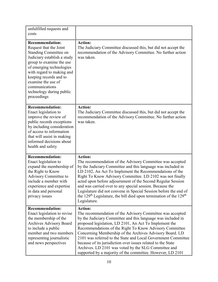| unfulfilled requests and<br>costs                                                                                                                                                                                                                                                                                 |                                                                                                                                                                                                                                                                                                                                                                                                                                                                                                                                                                                     |
|-------------------------------------------------------------------------------------------------------------------------------------------------------------------------------------------------------------------------------------------------------------------------------------------------------------------|-------------------------------------------------------------------------------------------------------------------------------------------------------------------------------------------------------------------------------------------------------------------------------------------------------------------------------------------------------------------------------------------------------------------------------------------------------------------------------------------------------------------------------------------------------------------------------------|
| <b>Recommendation:</b><br>Request that the Joint<br><b>Standing Committee on</b><br>Judiciary establish a study<br>group to examine the use<br>of emerging technologies<br>with regard to making and<br>keeping records and to<br>examine the use of<br>communications<br>technology during public<br>proceedings | <b>Action:</b><br>The Judiciary Committee discussed this, but did not accept the<br>recommendation of the Advisory Committee. No further action<br>was taken.                                                                                                                                                                                                                                                                                                                                                                                                                       |
| <b>Recommendation:</b><br>Enact legislation to<br>improve the review of<br>public records exceptions<br>by including consideration<br>of access to information<br>that will assist in making<br>informed decisions about<br>health and safety                                                                     | <b>Action:</b><br>The Judiciary Committee discussed this, but did not accept the<br>recommendation of the Advisory Committee. No further action<br>was taken.                                                                                                                                                                                                                                                                                                                                                                                                                       |
| <b>Recommendation:</b><br>Enact legislation to<br>expand the membership of<br>the Right to Know<br>Advisory Committee to<br>include a member with<br>experience and expertise<br>in data and personal<br>privacy issues                                                                                           | <b>Action:</b><br>The recommendation of the Advisory Committee was accepted<br>by the Judiciary Committee and this language was included in<br>LD 2102, An Act To Implement the Recommendations of the<br>Right To Know Advisory Committee. LD 2102 was not finally<br>acted upon before adjournment of the Second Regular Session<br>and was carried over to any special session. Because the<br>Legislature did not convene in Special Session before the end of<br>the 129 <sup>th</sup> Legislature, the bill died upon termination of the 129 <sup>th</sup><br>Legislature.    |
| <b>Recommendation:</b><br>Enact legislation to revise<br>the membership of the<br><b>Archives Advisory Board</b><br>to include a public<br>member and two members<br>representing journalistic<br>and news perspectives                                                                                           | <b>Action:</b><br>The recommendation of the Advisory Committee was accepted<br>by the Judiciary Committee and this language was included in<br>proposed legislation, LD 2101, An Act To Implement the<br>Recommendations of the Right To Know Advisory Committee<br>Concerning Membership of the Archives Advisory Board. LD<br>2101 was referred to the State and Local Government Committee<br>because of its jurisdiction over issues related to the State<br>Archives. LD 2101 was voted by the SLG Committee and<br>supported by a majority of the committee. However, LD 2101 |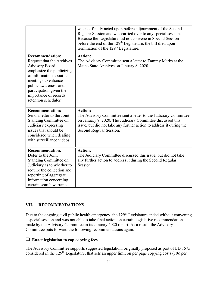|                                                                                                                                                                                                                                                                 | was not finally acted upon before adjournment of the Second<br>Regular Session and was carried over to any special session.<br>Because the Legislature did not convene in Special Session<br>before the end of the 129 <sup>th</sup> Legislature, the bill died upon<br>termination of the 129 <sup>th</sup> Legislature. |
|-----------------------------------------------------------------------------------------------------------------------------------------------------------------------------------------------------------------------------------------------------------------|---------------------------------------------------------------------------------------------------------------------------------------------------------------------------------------------------------------------------------------------------------------------------------------------------------------------------|
| <b>Recommendation:</b><br>Request that the Archives<br><b>Advisory Board</b><br>emphasize the publicizing<br>of information about its<br>meetings to enhance<br>public awareness and<br>participation given the<br>importance of records<br>retention schedules | <b>Action:</b><br>The Advisory Committee sent a letter to Tammy Marks at the<br>Maine State Archives on January 8, 2020.                                                                                                                                                                                                  |
| <b>Recommendation:</b><br>Send a letter to the Joint<br><b>Standing Committee on</b><br>Judiciary expressing<br>issues that should be<br>considered when dealing<br>with surveillance videos                                                                    | <b>Action:</b><br>The Advisory Committee sent a letter to the Judiciary Committee<br>on January 8, 2020. The Judiciary Committee discussed this<br>issue, but did not take any further action to address it during the<br>Second Regular Session.                                                                         |
| <b>Recommendation:</b><br>Defer to the Joint<br><b>Standing Committee on</b><br>Judiciary as to whether to<br>require the collection and<br>reporting of aggregate<br>information concerning<br>certain search warrants                                         | <b>Action:</b><br>The Judiciary Committee discussed this issue, but did not take<br>any further action to address it during the Second Regular<br>Session.                                                                                                                                                                |

## **VII. RECOMMENDATIONS**

Due to the ongoing civil public health emergency, the 129<sup>th</sup> Legislature ended without convening a special session and was not able to take final action on certain legislative recommendations made by the Advisory Committee in its January 2020 report. As a result, the Advisory Committee puts forward the following recommendations again:

## **Enact legislation to cap copying fees**

The Advisory Committee supports suggested legislation, originally proposed as part of LD 1575 considered in the 129<sup>th</sup> Legislature, that sets an upper limit on per page copying costs (10¢ per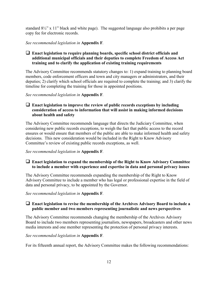standard 8½" x 11" black and white page). The suggested language also prohibits a per page copy fee for electronic records.

*See recommended legislation in* **Appendix F***.* 

## **Enact legislation to require planning boards, specific school district officials and additional municipal officials and their deputies to complete Freedom of Access Act training and to clarify the application of existing training requirements**

The Advisory Committee recommends statutory changes to: 1) expand training to planning board members, code enforcement officers and town and city managers or administrators, and their deputies; 2) clarify which school officials are required to complete the training; and 3) clarify the timeline for completing the training for those in appointed positions.

*See recommended legislation in* **Appendix F***.* 

## **Enact legislation to improve the review of public records exceptions by including consideration of access to information that will assist in making informed decisions about health and safety**

The Advisory Committee recommends language that directs the Judiciary Committee, when considering new public records exceptions, to weigh the fact that public access to the record ensures or would ensure that members of the public are able to make informed health and safety decisions. This new consideration would be included in the Right to Know Advisory Committee's review of existing public records exceptions, as well.

*See recommended legislation in* **Appendix F***.* 

## **Enact legislation to expand the membership of the Right to Know Advisory Committee to include a member with experience and expertise in data and personal privacy issues**

The Advisory Committee recommends expanding the membership of the Right to Know Advisory Committee to include a member who has legal or professional expertise in the field of data and personal privacy, to be appointed by the Governor.

*See recommended legislation in* **Appendix F***.* 

## **Enact legislation to revise the membership of the Archives Advisory Board to include a public member and two members representing journalistic and news perspectives**

The Advisory Committee recommends changing the membership of the Archives Advisory Board to include two members representing journalists, newspapers, broadcasters and other news media interests and one member representing the protection of personal privacy interests.

## *See recommended legislation in* **Appendix F***.*

For its fifteenth annual report, the Advisory Committee makes the following recommendations: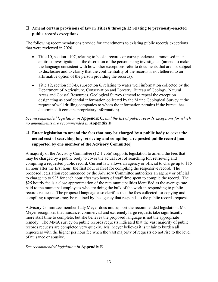## **Amend certain provisions of law in Titles 8 through 12 relating to previously-enacted public records exceptions**

The following recommendations provide for amendments to existing public records exceptions that were reviewed in 2020.

- Title 10, section 1107, relating to books, records or correspondence summonsed in an antitrust investigation, at the discretion of the person being investigated (amend to make the language consistent with how other exceptions refer to documents that are not subject to disclosure and to clarify that the confidentiality of the records is not tethered to an affirmative option of the person providing the records).
- Title 12, section 550-B, subsection 6, relating to water well information collected by the Department of Agriculture, Conservation and Forestry, Bureau of Geology, Natural Areas and Coastal Resources, Geological Survey (amend to repeal the exception designating as confidential information collected by the Maine Geological Survey at the request of well drilling companies to whom the information pertains if the bureau has determined it contains proprietary information).

*See recommended legislation in* **Appendix C***, and the list of public records exceptions for which no amendments are recommended in* **Appendix D***.* 

## **Enact legislation to amend the fees that may be charged by a public body to cover the actual cost of searching for, retrieving and compiling a requested public record [not supported by one member of the Advisory Committee]**

A majority of the Advisory Committee (12-1 vote) supports legislation to amend the fees that may be charged by a public body to cover the actual cost of searching for, retrieving and compiling a requested public record. Current law allows an agency or official to charge up to \$15 an hour after the first hour (the first hour is free) for compiling the responsive record. The proposed legislation recommended by the Advisory Committee authorizes an agency or official to charge up to \$25 for each hour after two hours of staff time spent to compile the record. The \$25 hourly fee is a close approximation of the rate municipalities identified as the average rate paid to the municipal employees who are doing the bulk of the work in responding to public records requests. The proposed language also clarifies that the fees collected for copying and compiling responses may be retained by the agency that responds to the public records request.

Advisory Committee member Judy Meyer does not support the recommended legislation. Ms. Meyer recognizes that nuisance, commercial and extremely large requests take significantly more staff time to complete, but she believes the proposed language is not the appropriate remedy. The MMA survey on public records requests indicated that the vast majority of public records requests are completed very quickly. Ms. Meyer believes it is unfair to burden all requesters with the higher per hour fee when the vast majority of requests do not rise to the level of nuisance or abusive.

## *See recommended legislation in* **Appendix E***.*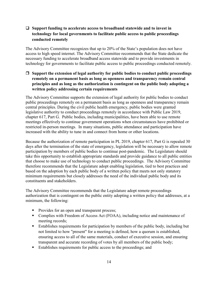## **Support funding to accelerate access to broadband statewide and to invest in technology for local governments to facilitate public access to public proceedings conducted remotely**

The Advisory Committee recognizes that up to 20% of the State's population does not have access to high speed internet. The Advisory Committee recommends that the State dedicate the necessary funding to accelerate broadband access statewide and to provide investments in technology for governments to facilitate public access to public proceedings conducted remotely.

 **Support the extension of legal authority for public bodies to conduct public proceedings remotely on a permanent basis as long as openness and transparency remain central principles and as long as the authorization is contingent on the public body adopting a written policy addressing certain requirements**

The Advisory Committee supports the extension of legal authority for public bodies to conduct public proceedings remotely on a permanent basis as long as openness and transparency remain central principles. During the civil public health emergency, public bodies were granted legislative authority to conduct proceedings remotely in accordance with Public Law 2019, chapter 617, Part G. Public bodies, including municipalities, have been able to use remote meetings effectively to continue government operations when circumstances have prohibited or restricted in-person meetings. In many situations, public attendance and participation have increased with the ability to tune in and connect from home or other locations.

Because the authorization of remote participation in PL 2019, chapter 617, Part G is repealed 30 days after the termination of the state of emergency, legislation will be necessary to allow remote participation by members of public bodies to continue post-pandemic. The Legislature should take this opportunity to establish appropriate standards and provide guidance to all public entities that choose to make use of technology to conduct public proceedings. The Advisory Committee therefore recommends that the Legislature adopt enabling legislation, tied to best practices and based on the adoption by each public body of a written policy that meets not only statutory minimum requirements but closely addresses the need of the individual public body and its constituents and stakeholders.

The Advisory Committee recommends that the Legislature adopt remote proceedings authorization that is contingent on the public entity adopting a written policy that addresses, at a minimum, the following:

- Provides for an open and transparent process;
- Complies with Freedom of Access Act (FOAA), including notice and maintenance of meeting records;
- Establishes requirements for participation by members of the public body, including but not limited to how "present" for a meeting is defined, how a quorum is established, ensuring access to all of the same materials, conduct of executive session, and ensuring transparent and accurate recording of votes by all members of the public body;
- Establishes requirements for public access to the proceedings; and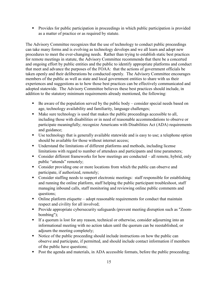**Provides for public participation in proceedings in which public participation is provided** as a matter of practice or as required by statute.

The Advisory Committee recognizes that the use of technology to conduct public proceedings can take many forms and is evolving as technology develops and we all learn and adopt new procedures to meet the ever-changing needs. Rather than trying to establish static best practices for remote meetings in statute, the Advisory Committee recommends that there be a concerted and ongoing effort by public entities and the public to identify appropriate platforms and conduct that meet and advance the purposes of the FOAA: that the actions of government officials be taken openly and their deliberations be conducted openly. The Advisory Committee encourages members of the public as well as state and local government entities to share with us their experiences and suggestions as to how those best practices can be effectively communicated and adopted statewide. The Advisory Committee believes these best practices should include, in addition to the statutory minimum requirements already mentioned, the following:

- $\blacksquare$  Be aware of the population served by the public body consider special needs based on age, technology availability and familiarity, language challenges;
- Make sure technology is used that makes the public proceedings accessible to all, including those with disabilities or in need of reasonable accommodations to observe or participate meaningfully; recognize Americans with Disabilities Act (ADA) requirements and guidance;
- Use technology that is generally available statewide and is easy to use; a telephone option should be available for those without internet access;
- Understand the limitations of different platforms and methods, including license limitations with regard to number of attendees and participants and time parameters;
- Consider different frameworks for how meetings are conducted all remote, hybrid, only public "attends" remotely;
- Consider providing one or more locations from which the public can observe and participate, if authorized, remotely;
- Consider staffing needs to support electronic meetings: staff responsible for establishing and running the online platform, staff helping the public participant troubleshoot, staff managing inbound calls, staff monitoring and reviewing online public comments and questions;
- Online platform etiquette adopt reasonable requirements for conduct that maintain respect and civility for all involved;
- **Provide appropriate cybersecurity safeguards (prevent meeting disruption such as "Zoom**bombing");
- If a quorum is lost for any reason, technical or otherwise, consider adjourning into an informational meeting with no action taken until the quorum can be reestablished, or adjourn the meeting completely;
- Notice of the public proceeding should include instructions on how the public can observe and participate, if permitted, and should include contact information if members of the public have questions;
- Post the agenda and materials, in ADA accessible formats, before the public proceeding;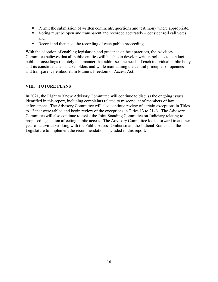- **Permit the submission of written comments, questions and testimony where appropriate;**
- Voting must be open and transparent and recorded accurately consider roll call votes; and
- Record and then post the recording of each public proceeding.

With the adoption of enabling legislation and guidance on best practices, the Advisory Committee believes that all public entities will be able to develop written policies to conduct public proceedings remotely in a manner that addresses the needs of each individual public body and its constituents and stakeholders and while maintaining the central principles of openness and transparency embodied in Maine's Freedom of Access Act.

## **VIII. FUTURE PLANS**

In 2021, the Right to Know Advisory Committee will continue to discuss the ongoing issues identified in this report, including complaints related to misconduct of members of law enforcement. The Advisory Committee will also continue review of certain exceptions in Titles to 12 that were tabled and begin review of the exceptions in Titles 13 to 21-A. The Advisory Committee will also continue to assist the Joint Standing Committee on Judiciary relating to proposed legislation affecting public access. The Advisory Committee looks forward to another year of activities working with the Public Access Ombudsman, the Judicial Branch and the Legislature to implement the recommendations included in this report.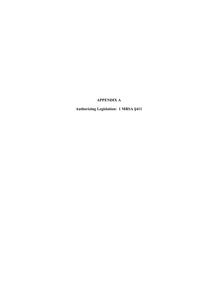## **APPENDIX A**

**Authorizing Legislation: 1 MRSA §411**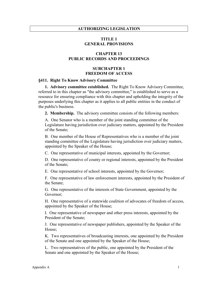#### **AUTHORIZING LEGISLATION**

#### **TITLE 1 GENERAL PROVISIONS**

#### **CHAPTER 13 PUBLIC RECORDS AND PROCEEDINGS**

#### **SUBCHAPTER 1 FREEDOM OF ACCESS**

#### **§411. Right To Know Advisory Committee**

**1. Advisory committee established.** The Right To Know Advisory Committee, referred to in this chapter as "the advisory committee," is established to serve as a resource for ensuring compliance with this chapter and upholding the integrity of the purposes underlying this chapter as it applies to all public entities in the conduct of the public's business.

**2. Membership.** The advisory committee consists of the following members:

A. One Senator who is a member of the joint standing committee of the Legislature having jurisdiction over judiciary matters, appointed by the President of the Senate;

B. One member of the House of Representatives who is a member of the joint standing committee of the Legislature having jurisdiction over judiciary matters, appointed by the Speaker of the House;

C. One representative of municipal interests, appointed by the Governor;

D. One representative of county or regional interests, appointed by the President of the Senate;

E. One representative of school interests, appointed by the Governor;

F. One representative of law enforcement interests, appointed by the President of the Senate;

G. One representative of the interests of State Government, appointed by the Governor;

H. One representative of a statewide coalition of advocates of freedom of access, appointed by the Speaker of the House;

I. One representative of newspaper and other press interests, appointed by the President of the Senate;

J. One representative of newspaper publishers, appointed by the Speaker of the House;

K. Two representatives of broadcasting interests, one appointed by the President of the Senate and one appointed by the Speaker of the House;

L. Two representatives of the public, one appointed by the President of the Senate and one appointed by the Speaker of the House;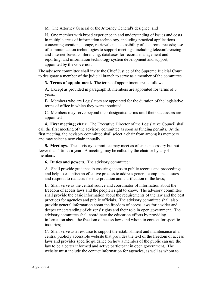M. The Attorney General or the Attorney General's designee; and

N. One member with broad experience in and understanding of issues and costs in multiple areas of information technology, including practical applications concerning creation, storage, retrieval and accessibility of electronic records; use of communication technologies to support meetings, including teleconferencing and Internet-based conferencing; databases for records management and reporting; and information technology system development and support, appointed by the Governor.

The advisory committee shall invite the Chief Justice of the Supreme Judicial Court to designate a member of the judicial branch to serve as a member of the committee.

**3. Terms of appointment.** The terms of appointment are as follows.

A. Except as provided in paragraph B, members are appointed for terms of 3 years.

B. Members who are Legislators are appointed for the duration of the legislative terms of office in which they were appointed.

C. Members may serve beyond their designated terms until their successors are appointed.

**4. First meeting; chair.** The Executive Director of the Legislative Council shall call the first meeting of the advisory committee as soon as funding permits. At the first meeting, the advisory committee shall select a chair from among its members and may select a new chair annually.

**5. Meetings.** The advisory committee may meet as often as necessary but not fewer than 4 times a year. A meeting may be called by the chair or by any 4 members.

**6. Duties and powers.** The advisory committee:

A. Shall provide guidance in ensuring access to public records and proceedings and help to establish an effective process to address general compliance issues and respond to requests for interpretation and clarification of the laws;

B. Shall serve as the central source and coordinator of information about the freedom of access laws and the people's right to know. The advisory committee shall provide the basic information about the requirements of the law and the best practices for agencies and public officials. The advisory committee shall also provide general information about the freedom of access laws for a wider and deeper understanding of citizens' rights and their role in open government. The advisory committee shall coordinate the education efforts by providing information about the freedom of access laws and whom to contact for specific inquiries;

C. Shall serve as a resource to support the establishment and maintenance of a central publicly accessible website that provides the text of the freedom of access laws and provides specific guidance on how a member of the public can use the law to be a better informed and active participant in open government. The website must include the contact information for agencies, as well as whom to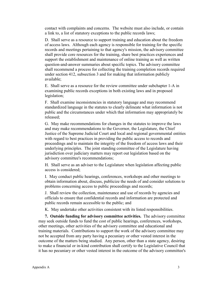contact with complaints and concerns. The website must also include, or contain a link to, a list of statutory exceptions to the public records laws;

D. Shall serve as a resource to support training and education about the freedom of access laws. Although each agency is responsible for training for the specific records and meetings pertaining to that agency's mission, the advisory committee shall provide core resources for the training, share best practices experiences and support the establishment and maintenance of online training as well as written question-and-answer summaries about specific topics. The advisory committee shall recommend a process for collecting the training completion records required under section 412, subsection 3 and for making that information publicly available;

E. Shall serve as a resource for the review committee under subchapter 1-A in examining public records exceptions in both existing laws and in proposed legislation;

F. Shall examine inconsistencies in statutory language and may recommend standardized language in the statutes to clearly delineate what information is not public and the circumstances under which that information may appropriately be released;

G. May make recommendations for changes in the statutes to improve the laws and may make recommendations to the Governor, the Legislature, the Chief Justice of the Supreme Judicial Court and local and regional governmental entities with regard to best practices in providing the public access to records and proceedings and to maintain the integrity of the freedom of access laws and their underlying principles. The joint standing committee of the Legislature having jurisdiction over judiciary matters may report out legislation based on the advisory committee's recommendations;

H. Shall serve as an adviser to the Legislature when legislation affecting public access is considered;

I. May conduct public hearings, conferences, workshops and other meetings to obtain information about, discuss, publicize the needs of and consider solutions to problems concerning access to public proceedings and records;

J. Shall review the collection, maintenance and use of records by agencies and officials to ensure that confidential records and information are protected and public records remain accessible to the public; and

K. May undertake other activities consistent with its listed responsibilities.

**7. Outside funding for advisory committee activities.** The advisory committee may seek outside funds to fund the cost of public hearings, conferences, workshops, other meetings, other activities of the advisory committee and educational and training materials. Contributions to support the work of the advisory committee may not be accepted from any party having a pecuniary or other vested interest in the outcome of the matters being studied. Any person, other than a state agency, desiring to make a financial or in-kind contribution shall certify to the Legislative Council that it has no pecuniary or other vested interest in the outcome of the advisory committee's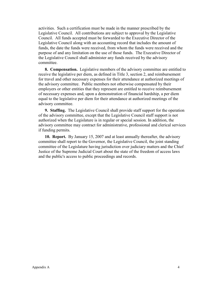activities. Such a certification must be made in the manner prescribed by the Legislative Council. All contributions are subject to approval by the Legislative Council. All funds accepted must be forwarded to the Executive Director of the Legislative Council along with an accounting record that includes the amount of funds, the date the funds were received, from whom the funds were received and the purpose of and any limitation on the use of those funds. The Executive Director of the Legislative Council shall administer any funds received by the advisory committee.

**8. Compensation.** Legislative members of the advisory committee are entitled to receive the legislative per diem, as defined in Title 3, section 2, and reimbursement for travel and other necessary expenses for their attendance at authorized meetings of the advisory committee. Public members not otherwise compensated by their employers or other entities that they represent are entitled to receive reimbursement of necessary expenses and, upon a demonstration of financial hardship, a per diem equal to the legislative per diem for their attendance at authorized meetings of the advisory committee.

**9. Staffing.** The Legislative Council shall provide staff support for the operation of the advisory committee, except that the Legislative Council staff support is not authorized when the Legislature is in regular or special session. In addition, the advisory committee may contract for administrative, professional and clerical services if funding permits.

**10. Report.** By January 15, 2007 and at least annually thereafter, the advisory committee shall report to the Governor, the Legislative Council, the joint standing committee of the Legislature having jurisdiction over judiciary matters and the Chief Justice of the Supreme Judicial Court about the state of the freedom of access laws and the public's access to public proceedings and records.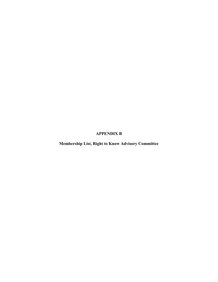## **APPENDIX B**

**Membership List, Right to Know Advisory Committee**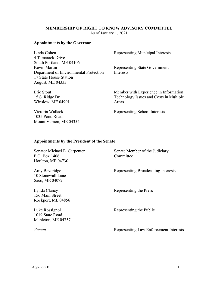## **MEMBERSHIP OF RIGHT TO KNOW ADVISORY COMMITTEE**

As of January 1, 2021

## **Appointments by the Governor**

| Linda Cohen<br>4 Tamarack Drive        | <b>Representing Municipal Interests</b> |
|----------------------------------------|-----------------------------------------|
| South Portland, ME 04106               |                                         |
| Kevin Martin                           | <b>Representing State Government</b>    |
| Department of Environmental Protection | Interests                               |
| 17 State House Station                 |                                         |
| August, ME 04333                       |                                         |
| Eric Stout                             | Member with Experience in Information   |
| 15 S. Ridge Dr.                        | Technology Issues and Costs in Multiple |

Areas

Winslow, ME 04901 Victoria Wallack 1035 Pond Road

Mount Vernon, ME 04352

Representing School Interests

## **Appointments by the President of the Senate**

| Senator Michael E. Carpenter<br>P.O. Box $1406$<br>Houlton, ME 04730 | Senate Member of the Judiciary<br>Committee |
|----------------------------------------------------------------------|---------------------------------------------|
| Amy Beveridge<br>10 Stonewall Lane<br>Saco, ME 04072                 | Representing Broadcasting Interests         |
| Lynda Clancy<br>156 Main Street<br>Rockport, ME 04856                | Representing the Press                      |
| Luke Rossignol<br>1019 State Road<br>Mapleton, ME 04757              | Representing the Public                     |
| Vacant                                                               | Representing Law Enforcement Interests      |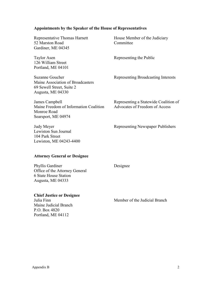#### **Appointments by the Speaker of the House of Representatives**

Representative Thomas Harnett 52 Marston Road Gardiner, ME 04345

Taylor Asen 126 William Street Portland, ME 04101

Suzanne Goucher Maine Association of Broadcasters 69 Sewell Street, Suite 2 Augusta, ME 04330

House Member of the Judiciary Committee

Representing the Public

Representing Broadcasting Interests

James Campbell Maine Freedom of Information Coalition Monroe Road Searsport, ME 04974

Judy Meyer Lewiston Sun Journal 104 Park Street Lewiston, ME 04243-4400 Representing a Statewide Coalition of Advocates of Freedom of Access

Representing Newspaper Publishers

#### **Attorney General or Designee**

Phyllis Gardiner Office of the Attorney General 6 State House Station Augusta, ME 04333

#### **Chief Justice or Designee**

Julia Finn Maine Judicial Branch P.O. Box 4820 Portland, ME 04112

Designee

Member of the Judicial Branch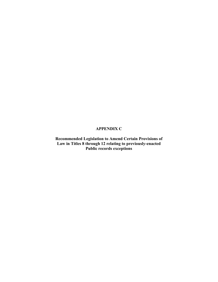## **APPENDIX C**

**Recommended Legislation to Amend Certain Provisions of Law in Titles 8 through 12 relating to previously-enacted Public records exceptions**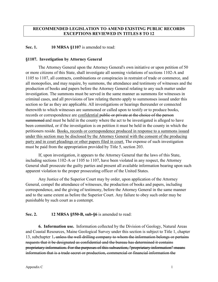## **RECOMMENDED LEGISLATION TO AMEND EXISTING PUBLIC RECORDS EXCEPTIONS REVIEWED IN TITLES 8 TO 12**

## Sec. 1. **10 MRSA §1107** is amended to read:

#### **§1107. Investigation by Attorney General**

The Attorney General upon the Attorney General's own initiative or upon petition of 50 or more citizens of this State, shall investigate all seeming violations of sections 1102-A and 1105 to 1107, all contracts, combinations or conspiracies in restraint of trade or commerce, and all monopolies, and may require, by summons, the attendance and testimony of witnesses and the production of books and papers before the Attorney General relating to any such matter under investigation. The summons must be served in the same manner as summons for witnesses in criminal cases, and all provisions of law relating thereto apply to summonses issued under this section so far as they are applicable. All investigations or hearings thereunder or connected therewith to which witnesses are summoned or called upon to testify or to produce books, records or correspondence are confidential public or private at the choice of the person summoned and must be held in the county where the act to be investigated is alleged to have been committed, or if the investigation is on petition it must be held in the county in which the petitioners reside. Books, records or correspondence produced in response to a summons issued under this section may be disclosed by the Attorney General with the consent of the producing party and in court pleadings or other papers filed in court. The expense of such investigation must be paid from the appropriation provided by Title 5, section 203.

If, upon investigation, it appears to the Attorney General that the laws of this State, including sections 1102-A or 1105 to 1107, have been violated in any respect, the Attorney General shall prosecute the guilty parties and present all available information bearing upon such apparent violation to the proper prosecuting officer of the United States.

Any Justice of the Superior Court may by order, upon application of the Attorney General, compel the attendance of witnesses, the production of books and papers, including correspondence, and the giving of testimony, before the Attorney General in the same manner and to the same extent as before the Superior Court. Any failure to obey such order may be punishable by such court as a contempt.

#### **Sec. 2. 12 MRSA §550-B, sub-§6** is amended to read:

**6. Information use.** Information collected by the Division of Geology, Natural Areas and Coastal Resources, Maine Geological Survey under this section is subject to Title 1, chapter 13, subchapter 1, unless the well drilling company to whom the information belongs or pertains requests that it be designated as confidential and the bureau has determined it contains proprietary information. For the purposes of this subsection, "proprietary information" means information that is a trade secret or production, commercial or financial information the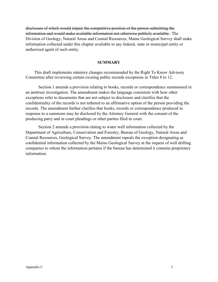disclosure of which would impair the competitive position of the person submitting the information and would make available information not otherwise publicly available. The Division of Geology, Natural Areas and Coastal Resources, Maine Geological Survey shall make information collected under this chapter available to any federal, state or municipal entity or authorized agent of such entity.

#### **SUMMARY**

This draft implements statutory changes recommended by the Right To Know Advisory Committee after reviewing certain existing public records exceptions in Titles 8 to 12.

Section 1 amends a provision relating to books, records or correspondence summonsed in an antitrust investigation. The amendment makes the language consistent with how other exceptions refer to documents that are not subject to disclosure and clarifies that the confidentiality of the records is not tethered to an affirmative option of the person providing the records. The amendment further clarifies that books, records or correspondence produced in response to a summons may be disclosed by the Attorney General with the consent of the producing party and in court pleadings or other parties filed in court.

Section 2 amends a provision elating to water well information collected by the Department of Agriculture, Conservation and Forestry, Bureau of Geology, Natural Areas and Coastal Resources, Geological Survey. The amendment repeals the exception designating as confidential information collected by the Maine Geological Survey at the request of well drilling companies to whom the information pertains if the bureau has determined it contains proprietary information.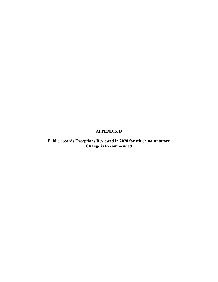## **APPENDIX D**

**Public records Exceptions Reviewed in 2020 for which no statutory Change is Recommended**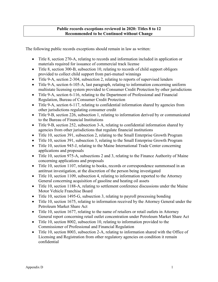## **Public records exceptions reviewed in 2020: Titles 8 to 12 Recommended to be Continued without Change**

The following public records exceptions should remain in law as written:

- Title 8, section 270-A, relating to records and information included in application or materials required for issuance of commercial track license
- Title 8, section 300-B, subsection 10, relating to records of child support obligors provided to collect child support from pari-mutuel winnings
- Title 9-A, section 2-304, subsection 2, relating to reports of supervised lenders
- Title 9-A, section 6-105-A, last paragraph, relating to information concerning uniform multistate licensing system provided to Consumer Credit Protection by other jurisdictions
- Title 9-A, section 6-116, relating to the Department of Professional and Financial Regulation, Bureau of Consumer Credit Protection
- Title 9-A, section 6-117, relating to confidential information shared by agencies from other jurisdictions regulating consumer credit
- Title 9-B, section 226, subsection 1, relating to information derived by or communicated to the Bureau of Financial Institutions
- Title 9-B, section 252, subsection 3-A, relating to confidential information shared by agencies from other jurisdictions that regulate financial institutions
- Title 10, section 391, subsection 2, relating to the Small Enterprise Growth Program
- Title 10, section 391, subsection 3, relating to the Small Enterprise Growth Program
- Title 10, section 945-J, relating to the Maine International Trade Center concerning applications and proposals
- Title 10, section 975-A, subsections 2 and 3, relating to the Finance Authority of Maine concerning applications and proposals
- Title 10, section 1107, relating to books, records or correspondence summonsed in an antitrust investigation, at the discretion of the person being investigated
- Title 10, section 1109, subsection 4, relating to information reported to the Attorney General concerning acquisition of gasoline and heating oil assets
- Title 10, section 1188-A, relating to settlement conference discussions under the Maine Motor Vehicle Franchise Board
- Title 10, section 1495-G, subsection 3, relating to payroll processing bonding
- Title 10, section 1675, relating to information received by the Attorney General under the Petroleum Market Share Act
- Title 10, section 1677, relating to the name of retailers or retail outlets in Attorney General report concerning retail outlet concentration under Petroleum Market Share Act
- Title 10, section 8002, subsection 10, relating to information provided to the Commissioner of Professional and Financial Regulation
- Title 10, section 8003, subsection 2-A, relating to information shared with the Office of Licensing and Registration from other regulatory agencies on condition it remain confidential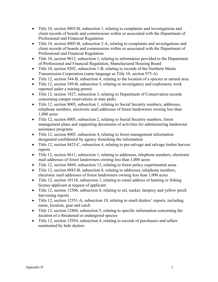- Title 10, section 8003-B, subsection 1, relating to complaints and investigations and client records of boards and commissions within or associated with the Department of Professional and Financial Regulation
- Title 10, section 8003-B, subsection 2-A, relating to complaints and investigations and client records of boards and commissions within or associated with the Department of Professional and Financial Regulation
- Title 10, section 9012, subsection 1, relating to information provided to the Department of Professional and Financial Regulation, Manufactured Housing Board
- Title 10, section 9202, subsection 1-B, relating to records of the Northern Maine Transmission Corporation (same language as Title 10, section 975-A)
- Title 12, section 544-B, subsection 4, relating to the location of a species or natural area
- Title 12, section 549-B, subsection 5, relating to investigatory and exploratory work reported under a mining permit
- Title 12, section 1827, subsection 3, relating to Department of Conservation records concerning camper reservations at state parks
- Title 12, section 8005, subsection 1, relating to Social Security numbers, addresses, telephone numbers, electronic mail addresses of forest landowners owning less than 1,000 acres
- Title 12, section 8005, subsection 2, relating to Social Security numbers, forest management plans and supporting documents of activities for administering landowner assistance programs
- Title 12, section 8005, subsection 4, relating to forest management information designated confidential by agency furnishing the information
- Title 12, section 8423-C, subsection 4, relating to pre-salvage and salvage timber harvest reports
- Title 12, section 8611, subsection 1, relating to addresses, telephone numbers, electronic mail addresses of forest landowners owning less than 1,000 acres
- Title 12, section 8869, subsection 13, relating to forest policy experimental areas
- Title 12, section 8883-B, subsection 8, relating to addresses, telephone numbers, electronic mail addresses of forest landowners owning less than 1,000 acres
- Title 12, section 10110, subsection 1, relating to email address of hunting or fishing license applicant at request of applicant
- Title 12, section 12506, subsection 8, relating to eel, sucker, lamprey and yellow perch harvesting reports
- Title 12, section 12551-A, subsection 10, relating to smelt dealers' reports, including name, location, gear and catch
- Title 12, section 12804, subsection 5, relating to specific information concerning the location of a threatened or endangered species
- Title 12, section 12954, subsection 4, relating to records of purchasers and sellers maintained by hide dealers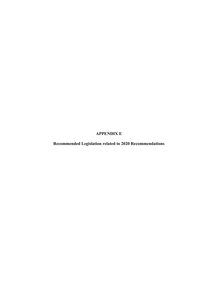## **APPENDIX E**

**Recommended Legislation related to 2020 Recommendations**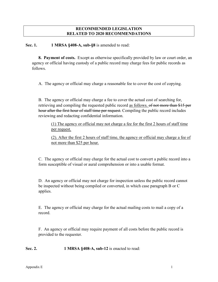## **RECOMMENDED LEGISLATION RELATED TO 2020 RECOMMENDATIONS**

**Sec. 1. 1 MRSA §408-A, sub-§8** is amended to read:

**8. Payment of costs.** Except as otherwise specifically provided by law or court order, an agency or official having custody of a public record may charge fees for public records as follows.

A. The agency or official may charge a reasonable fee to cover the cost of copying.

B. The agency or official may charge a fee to cover the actual cost of searching for, retrieving and compiling the requested public record as follows. of not more than \$15 per hour after the first hour of staff time per request. Compiling the public record includes reviewing and redacting confidential information.

(1) The agency or official may not charge a fee for the first 2 hours of staff time per request.

(2). After the first 2 hours of staff time, the agency or official may charge a fee of not more than \$25 per hour.

C. The agency or official may charge for the actual cost to convert a public record into a form susceptible of visual or aural comprehension or into a usable format.

D. An agency or official may not charge for inspection unless the public record cannot be inspected without being compiled or converted, in which case paragraph B or C applies.

E. The agency or official may charge for the actual mailing costs to mail a copy of a record.

F. An agency or official may require payment of all costs before the public record is provided to the requester.

**Sec. 2.** 1 MRSA §408-A, sub-12 is enacted to read: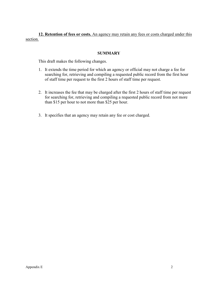**12. Retention of fees or costs.** An agency may retain any fees or costs charged under this section.

## **SUMMARY**

This draft makes the following changes.

- 1. It extends the time period for which an agency or official may not charge a fee for searching for, retrieving and compiling a requested public record from the first hour of staff time per request to the first 2 hours of staff time per request.
- 2. It increases the fee that may be charged after the first 2 hours of staff time per request for searching for, retrieving and compiling a requested public record from not more than \$15 per hour to not more than \$25 per hour.
- 3. It specifies that an agency may retain any fee or cost charged.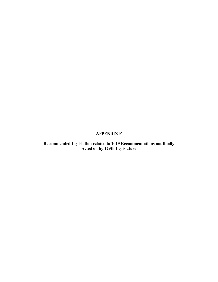## **APPENDIX F**

**Recommended Legislation related to 2019 Recommendations not finally Acted on by 129th Legislature**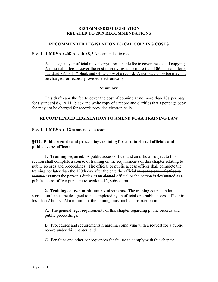#### **RECOMMENDED LEGISLATION RELATED TO 2019 RECOMMENDATIONS**

## **RECOMMENDED LEGISLATION TO CAP COPYING COSTS**

**Sec. 1. 1 MRSA §408-A, sub-§8, ¶A** is amended to read:

A. The agency or official may charge a reasonable fee to cover the cost of copying. A reasonable fee to cover the cost of copying is no more than 10¢ per page for a standard  $8\frac{1}{2}$ " x 11" black and white copy of a record. A per page copy fee may not be charged for records provided electronically.

#### **Summary**

This draft caps the fee to cover the cost of copying at no more than  $10¢$  per page for a standard  $8\frac{1}{2}$ " x 11" black and white copy of a record and clarifies that a per page copy fee may not be charged for records provided electronically.

#### **RECOMMENDED LEGISLATION TO AMEND FOAA TRAINING LAW**

**Sec. 1. 1 MRSA §412** is amended to read:

## **§412. Public records and proceedings training for certain elected officials and public access officers**

**1. Training required.** A public access officer and an official subject to this section shall complete a course of training on the requirements of this chapter relating to public records and proceedings. The official or public access officer shall complete the training not later than the 120th day after the date the official takes the oath of office to assume assumes the person's duties as an elected official or the person is designated as a public access officer pursuant to section 413, subsection 1.

**2. Training course; minimum requirements.** The training course under subsection 1 must be designed to be completed by an official or a public access officer in less than 2 hours. At a minimum, the training must include instruction in:

A. The general legal requirements of this chapter regarding public records and public proceedings;

B. Procedures and requirements regarding complying with a request for a public record under this chapter; and

C. Penalties and other consequences for failure to comply with this chapter.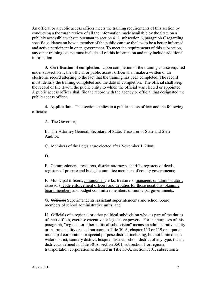An official or a public access officer meets the training requirements of this section by conducting a thorough review of all the information made available by the State on a publicly accessible website pursuant to section 411, subsection 6, paragraph C regarding specific guidance on how a member of the public can use the law to be a better informed and active participant in open government. To meet the requirements of this subsection, any other training course must include all of this information and may include additional information.

**3. Certification of completion.** Upon completion of the training course required under subsection 1, the official or public access officer shall make a written or an electronic record attesting to the fact that the training has been completed. The record must identify the training completed and the date of completion. The official shall keep the record or file it with the public entity to which the official was elected or appointed. A public access officer shall file the record with the agency or official that designated the public access officer.

**4. Application.** This section applies to a public access officer and the following officials:

A. The Governor;

B. The Attorney General, Secretary of State, Treasurer of State and State Auditor;

C. Members of the Legislature elected after November 1, 2008;

D.

E. Commissioners, treasurers, district attorneys, sheriffs, registers of deeds, registers of probate and budget committee members of county governments;

F. Municipal officers, *;* municipal clerks, treasurers, managers or administrators, assessors, code enforcement officers and deputies for those positions; planning board members and budget committee members of municipal governments;

G. Officials Superintendents, assistant superintendents and school board members of school administrative units; and

H. Officials of a regional or other political subdivision who, as part of the duties of their offices, exercise executive or legislative powers. For the purposes of this paragraph, "regional or other political subdivision" means an administrative entity or instrumentality created pursuant to Title 30-A, chapter 115 or 119 or a quasimunicipal corporation or special purpose district, including, but not limited to, a water district, sanitary district, hospital district, school district of any type, transit district as defined in Title 30-A, section 3501, subsection 1 or regional transportation corporation as defined in Title 30-A, section 3501, subsection 2.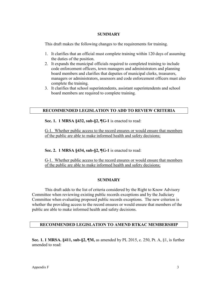#### **SUMMARY**

This draft makes the following changes to the requirements for training.

- 1. It clarifies that an official must complete training within 120 days of assuming the duties of the position.
- 2. It expands the municipal officials required to completed training to include code enforcement officers, town managers and administrators and planning board members and clarifies that deputies of municipal clerks, treasurers, managers or administrators, assessors and code enforcement officers must also complete the training.
- 3. It clarifies that school superintendents, assistant superintendents and school board members are required to complete training.

## **RECOMMENDED LEGISLATION TO ADD TO REVIEW CRITERIA**

**Sec. 1. 1 MRSA §432, sub-§2, ¶G-1** is enacted to read:

G-1. Whether public access to the record ensures or would ensure that members of the public are able to make informed health and safety decisions;

**Sec. 2. 1 MRSA §434, sub-§2, ¶G-1** is enacted to read:

G-1. Whether public access to the record ensures or would ensure that members of the public are able to make informed health and safety decisions;

#### **SUMMARY**

This draft adds to the list of criteria considered by the Right to Know Advisory Committee when reviewing existing public records exceptions and by the Judiciary Committee when evaluating proposed public records exceptions. The new criterion is whether the providing access to the record ensures or would ensure that members of the public are able to make informed health and safety decisions.

#### **RECOMMENDED LEGISLATION TO AMEND RTKAC MEMBERSHIP**

**Sec. 1. 1 MRSA. §411, sub-§2, ¶M,** as amended by PL 2015, c. 250, Pt. A, §1, is further amended to read: